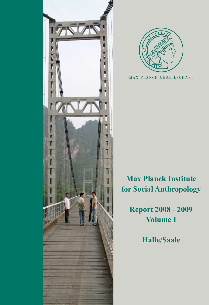



# **Max Planck Institute for Social Anthropology**

**Report 2008 - 2009 Volume I**

**Halle/Saale**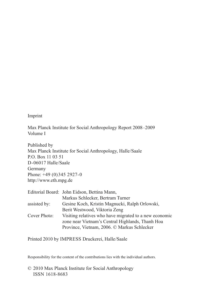Imprint

Max Planck Institute for Social Anthropology Report 2008–2009 Volume I

Published by Max Planck Institute for Social Anthropology, Halle/Saale P.O. Box 11 03 51 D-06017 Halle/Saale Germany Phone: +49 (0)345 2927-0 http://www.eth.mpg.de

| Visiting relatives who have migrated to a new economic |
|--------------------------------------------------------|
| zone near Vietnam's Central Highlands, Thanh Hoa       |
|                                                        |
|                                                        |

Printed 2010 by IMPRESS Druckerei, Halle/Saale

Responsibility for the content of the contributions lies with the individual authors.

© 2010 Max Planck Institute for Social Anthropology ISSN 1618-8683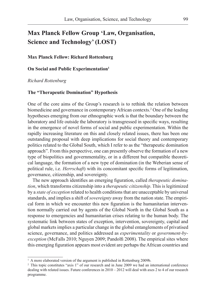# **Max Planck Fellow Group 'Law, Organisation, Science and Technology' (LOST)**

#### **Max Planck Fellow: Richard Rottenburg**

**On Social and Public Experimentation**<sup>1</sup>

*Richard Rottenburg*

## **The "Therapeutic Domination" Hypothesis**

One of the core aims of the Group's research is to rethink the relation between biomedicine and governance in contemporary African contexts.2 One of the leading hypotheses emerging from our ethnographic work is that the boundary between the laboratory and life outside the laboratory is transgressed in specific ways, resulting in the emergence of novel forms of social and public experimentation. Within the rapidly increasing literature on this and closely related issues, there has been one outstanding proposal with deep implications for social theory and contemporary politics related to the Global South, which I refer to as the "therapeutic domination approach". From this perspective, one can presently observe the formation of a new type of biopolitics and governmentality, or in a different but compatible theoretical language, the formation of a new type of domination (in the Weberian sense of political rule, i.e. *Herrschaft*) with its concomitant specific forms of legitimation, governance, citizenship, and sovereignty.

The new approach identifies an emerging figuration, called *therapeutic domination*, which transforms citizenship into a *therapeutic citizenship*. This is legitimized by a *state of exception* related to health conditions that are unacceptable by universal standards, and implies a shift of *sovereignty* away from the nation state. The empirical form in which we encounter this new figuration is the humanitarian intervention normally carried out by agents of the Global North in the Global South as a response to emergencies and humanitarian crises relating to the human body. The systematic link between states of exception, intervention, sovereignty, capital and global markets implies a particular change in the global entanglements of privatised science, governance, and politics addressed as *experimentality* or *government-byexception* (McFalls 2010; Nguyen 2009; Pandolfi 2008). The empirical sites where this emerging figuration appears most evident are perhaps the African countries and

<sup>&</sup>lt;sup>1</sup> A more elaborated version of the argument is published in Rottenburg 2009b.

<sup>&</sup>lt;sup>2</sup> This topic constitutes "axis 1" of our research and in June 2009 we had an international conference dealing with related issues. Future conferences in  $2010 - 2012$  will deal with axes 2 to 4 of our research programme.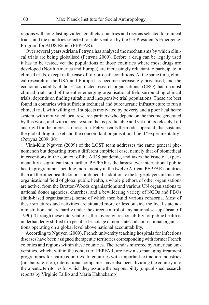regions with long-lasting violent conflicts, countries and regions selected for clinical trials, and the countries selected for intervention by the US President's Emergency Program for AIDS Relief (PEPFAR).

Over several years Adriana Petryna has analysed the mechanisms by which clinical trials are being globalised (Petryna 2009). Before a drug can be legally used it has to be tested, yet the populations of those countries where most drugs are developed (North America and Europe) are increasingly reluctant to participate in clinical trials, except in the case of life-or-death conditions. At the same time, clinical research in the USA and Europe has become increasingly privatised, and the economic viability of those "contracted research organisations" (CRO) that run most clinical trials, and of the entire emerging organisational field surrounding clinical trials, depends on finding suitable and inexpensive trial populations. These are best found in countries with sufficient technical and bureaucratic infrastructure to run a clinical trial, with willing trial subjects motivated by poverty and a poor healthcare system, with motivated local research partners who depend on the income generated by this work, and with a legal system that is predictable and yet not too closely knit and rigid for the interests of research. Petryna calls the modus operandi that sustains the global drug market and the concomitant organisational field "experimentality" (Petryna 2009: 30).

Vinh-Kim Nguyen (2009) of the LOST team addresses the same general phenomenon but departing from a different empirical case, namely that of biomedical interventions in the context of the AIDS pandemic, and takes the issue of experimentality a significant step further. PEPFAR is the largest ever international public health programme, spending more money in the twelve African PEPFAR countries than all the other health donors combined. In addition to the large players in this new organisational field of global public health, a whole plethora of other organisations are active, from the Bretton-Woods organisations and various UN organisations to national donor agencies, churches, and a bewildering variety of NGOs and FBOs (faith-based organisations), some of which then build various consortia. Most of these structures and activities are situated more or less outside the local state administration and are hardly under the direct control of any national set-up (Jasanoff 1990). Through these interventions, the sovereign responsibility for public health is underhandedly shifted to a peculiar bricolage of non-state and non-national organisations operating on a global level above national accountability.

According to Nguyen (2009), French university teaching hospitals for infectious diseases have been assigned therapeutic territories corresponding with former French colonies and regions within these countries. The trend is mirrored by American universities, which, within the context of PEPFAR, are now also managing treatment programmes for entire countries. In countries with important extraction industries (oil, bauxite, etc.), international companies have also been dividing the country into therapeutic territories for which they assume the responsibility (unpublished research reports by Virginie Tallio and Maria Hahnekamp).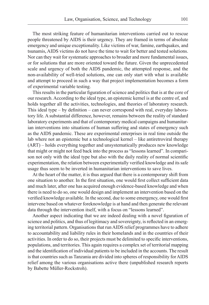The most striking feature of humanitarian interventions carried out to rescue people threatened by AIDS is their urgency. They are framed in terms of absolute emergency and unique exceptionality. Like victims of war, famine, earthquakes, and tsunamis, AIDS victims do not have the time to wait for better and tested solutions. Nor can they wait for systematic approaches to broader and more fundamental issues, or for solutions that are more oriented toward the future. Given the unprecedented scale and urgency of both the AIDS pandemic, the attempted response, and the non-availability of well-tried solutions, one can only start with what is available and attempt to proceed in such a way that project implementation becomes a form of experimental variable testing.

This results in the particular figuration of science and politics that is at the core of our research. According to the ideal type, an epistemic kernel is at the centre of, and holds together all the activities, technologies, and theories of laboratory research. This ideal type – by definition – can never correspond with real, everyday laboratory life. A substantial difference, however, remains between the reality of standard laboratory experiments and that of contemporary medical campaigns and humanitarian interventions into situations of human suffering and states of emergency such as the AIDS pandemic. These are experimental enterprises in real time outside the lab where not an epistemic but a technological kernel – like antiretroviral therapy (ART) – holds everything together and unsystematically produces new knowledge that might or might not feed back into the process as "lessons learned". In comparison not only with the ideal type but also with the daily reality of normal scientific experimentation, the relation between experimentally verified knowledge and its safe usage thus seem to be inverted in humanitarian interventions to save lives.

At the heart of the matter, it is thus argued that there is a contemporary shift from one situation to another. In the first situation, one would first collect sufficient data and much later, after one has acquired enough evidence-based knowledge and when there is need to do so, one would design and implement an intervention based on the verified knowledge available. In the second, due to some emergency, one would first intervene based on whatever foreknowledge is at hand and then generate the relevant data through the intervention itself, with a focus on "lessons learned".

Another aspect indicating that we are indeed dealing with a novel figuration of science and politics, and thus of legitimacy and sovereignty, is reflected in an emerging territorial pattern. Organisations that run AIDS relief programmes have to adhere to accountability and liability rules in their homelands and in the countries of their activities. In order to do so, their projects must be delimited to specific interventions, populations, and territories. This again requires a complex set of territorial mapping and the identification of individual patients to be included in the accounts. The result is that countries such as Tanzania are divided into spheres of responsibility for AIDS relief among the various organisations active there (unpublished research reports by Babette Müller-Rockstroh).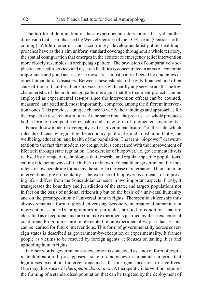The territorial delimitation of these experimental interventions has yet another dimension that is emphasised by Wenzel Geissler of the LOST team (Geissler forthcoming). While modernist and, accordingly, developmentalist public health approaches have as their aim uniform standard coverage throughout a whole territory, the spatial configuration that emerges in the context of emergency relief intervention more closely resembles an archipelago pattern. The provision of comparatively sophisticated health services and research facilities is concentrated in areas of economic importance and good access, or in those areas most badly affected by epidemics or other humanitarian disasters. Between these islands of heavily financed and often state-of-the-art facilities, there are vast areas with hardly any service at all. The key characteristic of the archipelago pattern is again that the treatment projects can be employed as experimental set-ups since the intervention effects can be counted, measured, analyzed and, most importantly, compared among the different intervention zones. This provides a unique chance to verify their findings and approaches for the respective research institutions. At the same time, the process as a whole produces both a form of therapeutic citizenship and a new form of fragmented sovereignty.

Foucault saw modern sovereignty as the "governmentalisation" of the state, which rules its citizens by regulating the economy, public life, and, most importantly, the wellbeing, education, and health of the population. The term "biopower" draws attention to the fact that modern sovereign rule is concerned with the improvement of life itself through state regulation. The exercise of biopower, i.e. governmentality, is realised by a range of technologies that describe and regulate specific populations, calling into being ways of life hitherto unknown. Foucauldian governmentality thus refers to how people are formed by the state. In the case of international humanitarian interventions, governmentality – the exercise of biopower as a means of improving life – differs from the Foucauldian concept in two important aspects. Firstly, it transgresses the boundary and jurisdiction of the state, and targets populations not in fact on the basis of national citizenship but on the basis of a universal humanity and on the presupposition of universal human rights. Therapeutic citizenship thus always remains a form of global citizenship. Secondly, international humanitarian interventions, and HIV programmes in particular, are tied to conditions that are classified as exceptional and are run like experiments justified by these exceptional conditions. Programmes are implemented in an experimental way so that lessons can be learned for future interventions. This form of governmentality across sovereign states is described as government-by-exception or experimentality. It frames people as victims to be rescued by foreign agents; it focuses on saving lives and upholding human rights.

In other words, government-by-exception is conceived as a novel form of legitimate domination. It presupposes a state of emergency in humanitarian terms that legitimises exceptional interventions and calls for urgent measures to save lives. One may thus speak of *therapeutic domination*. A therapeutic intervention requires the framing of a standardised population that can be targeted by the deployment of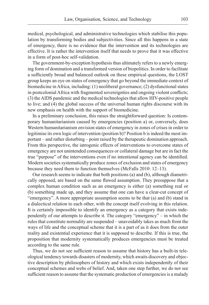medical, psychological, and administrative technologies which stabilise this population by transforming bodies and subjectivities. Since all this happens in a state of emergency, there is no evidence that the intervention and its technologies are effective. It is rather the intervention itself that needs to prove that it was effective in a form of post-hoc self-validation.

The government-by-exception hypothesis thus ultimately refers to a newly emerging form of domination and a transformed version of biopolitics. In order to facilitate a sufficiently broad and balanced outlook on these empirical questions, the LOST group keeps an eye on states of emergency that go beyond the immediate context of biomedicine in Africa, including: (1) neoliberal governance; (2) dysfunctional states in postcolonial Africa with fragmented sovereignties and ongoing violent conflicts; (3) the AIDS pandemic and the medical technologies that allow HIV-positive people to live; and (4) the global success of the universal human rights discourse with its new emphasis on health with the support of biomedicine.

In a preliminary conclusion, this raises the straightforward question: Is contemporary humanitarianism caused by emergencies (position a) or, conversely, does Western humanitarianism envision states of emergency in zones of crises in order to legitimise its own logic of intervention (position b)? Position b is indeed the most important – and rather disturbing – point raised by the therapeutic domination approach. From this perspective, the iatrogenic effects of interventions to overcome states of emergency are not unintended consequences or collateral damage but are in fact the true "purpose" of the interventions even if no intentional agency can be identified. Modern societies systematically produce zones of exclusion and states of emergency because they need them to function themselves (McFalls 2010: 12–13).

Our research seems to indicate that both positions (a) and (b), although diametrically opposed, are based on the same flawed assumption. They presuppose that a complex human condition such as an emergency is either (a) something real or (b) something made up, and they assume that one can have a clear-cut concept of "emergency". A more appropriate assumption seems to be that (a) and (b) stand in a dialectical relation to each other, with the concept itself evolving in this relation. It is certainly impossible to identify an emergency as a category that exists independently of our attempts to describe it. The category "emergency" – in which the rules that constitute normality are suspended – unavoidably takes as much from the ways of life and the conceptual scheme that it is a part of as it does from the outer reality and existential experience that it is supposed to describe. If this is true, the proposition that modernity systematically produces emergencies must be treated according to the same rule.

Thus, we do not see sufficient reason to assume that history has a built-in teleological tendency towards disasters of modernity, which awaits discovery and objective description by philosophers of history and which exists independently of their conceptual schemes and webs of belief. And, taken one step further, we do not see sufficient reason to assume that the systematic production of emergencies is a malady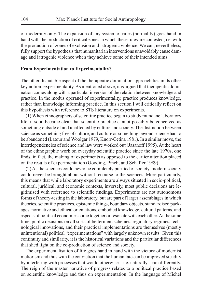of modernity only. The expansion of any system of rules (normality) goes hand in hand with the production of critical zones in which these rules are contested, i.e. with the production of zones of exclusion and iatrogenic violence. We can, nevertheless, fully support the hypothesis that humanitarian interventions unavoidably cause damage and iatrogenic violence when they achieve some of their intended aims.

#### **From Experimentation to Experimentality?**

The other disputable aspect of the therapeutic domination approach lies in its other key notion: experimentality. As mentioned above, it is argued that therapeutic domination comes along with a particular inversion of the relation between knowledge and practice. In the modus operandi of experimentality, practice produces knowledge, rather than knowledge informing practice. In this section I will critically reflect on this hypothesis with reference to STS literature on experiments.

(1) When ethnographers of scientific practice began to study mundane laboratory life, it soon became clear that scientific practice cannot possibly be conceived as something outside of and unaffected by culture and society. The distinction between science as something free of culture, and culture as something beyond science had to be abandoned (Latour and Woolgar 1979, Knorr-Cetina 1981). In a similar move, the interdependencies of science and law were worked out (Jasanoff 1995). At the heart of the ethnographic work on everyday scientific practice since the late 1970s, one finds, in fact, the making of experiments as opposed to the earlier attention placed on the results of experimentation (Gooding, Pinch, and Schaffer 1989).

(2) As the sciences could never be completely purified of society, modern society could never be brought about without recourse to the sciences. More particularly, this means that while laboratory experiments are always situated in socio-political, cultural, juridical, and economic contexts, inversely, most public decisions are legitimised with reference to scientific findings. Experiments are not autonomous forms of theory-testing in the laboratory, but are part of larger assemblages in which theories, scientific practices, epistemic things, boundary objects, standardised packages, normative and ethical orientations, embodied knowledge, cultural patterns, and aspects of political economies come together or resonate with each other. At the same time, public decisions on all sorts of betterment schemes, regulatory regimes, technological innovations, and their practical implementations are themselves (mostly unintentional) political "experimentations" with largely unknown results. Given this continuity and similarity, it is the historical variations and the particular differences that shed light on the co-production of science and society.

The experimentalisation of life goes hand in hand with the victory of modernist meliorism and thus with the conviction that the human fate can be improved steadily by interfering with processes that would otherwise – i.e. naturally – run differently. The reign of the master narrative of progress relates to a political practice based on scientific knowledge and thus on experimentation. In the language of Michel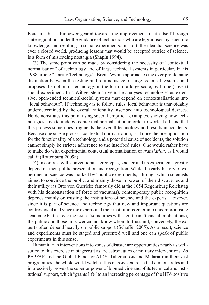Foucault this is biopower geared towards the improvement of life itself through state regulation, under the guidance of technocrats who are legitimised by scientific knowledge, and resulting in social experiments. In short, the idea that science was ever a closed world, producing lessons that would be accepted outside of science, is a form of misleading nostalgia (Shapin 1994).

(3) The same point can be made by considering the necessity of "contextual normalisation" of technology and of large technical systems in particular. In his 1988 article "Unruly Technology", Bryan Wynne approaches the ever problematic distinction between the testing and routine usage of large technical systems, and proposes the notion of technology in the form of a large-scale, real-time (covert) social experiment. In a Wittgensteinian vein, he analyses technologies as extensive, open-ended technical-social systems that depend on contextualisations into "local behaviour". If technology is to follow rules, local behaviour is unavoidably underdetermined by the overall rationality inscribed into technological devices. He demonstrates this point using several empirical examples, showing how technologies have to undergo contextual normalisation in order to work at all, and that this process sometimes fragments the overall technology and results in accidents. Because one single process, contextual normalisation, is at once the presupposition for the functionality of a technology and a potential cause of accidents, the solution cannot simply be stricter adherence to the inscribed rules. One would rather have to make do with experimental contextual normalisation or *translation*, as I would call it (Rottenburg 2009a).

(4) In contrast with conventional stereotypes, science and its experiments greatly depend on their public presentation and recognition. While the early history of experimental science was marked by "public experiments," through which scientists aimed to convince the public, and mainly those in power, of their discoveries and their utility (as Otto von Guericke famously did at the 1654 Regensburg Reichstag with his demonstration of force of vacuums), contemporary public recognition depends mainly on trusting the institutions of science and the experts. However, since it is part of science and technology that new and important questions are controversial and since the experts and their institutions enter into uncompromising academic battles over the issues (sometimes with significant financial implications), the public and those in power cannot know whom to trust and, conversely, the experts often depend heavily on public support (Schaffer 2005). As a result, science and experiments must be staged and presented well and one can speak of public experiments in this sense.

Humanitarian interventions into zones of disaster are opportunities nearly as wellsuited to this exercise in stagecraft as are astronautics or military interventions. As PEPFAR and the Global Fund for AIDS, Tuberculosis and Malaria run their vast programmes, the whole world watches this massive exercise that demonstrates and impressively proves the superior power of biomedicine and of its technical and institutional support, which "grants life" to an increasing percentage of the HIV-positive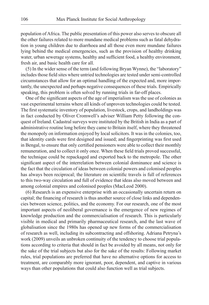population of Africa. The public presentation of this power also serves to obscure all the other failures related to more mundane medical problems such as fatal dehydration in young children due to diarrhoea and all those even more mundane failures lying behind the medical emergencies, such as the provision of healthy drinking water, urban sewerage systems, healthy and sufficient food, a healthy environment, fresh air, and basic health care for all.

(5) In the wider sense of the term (and following Bryan Wynne), the "laboratory" includes those field sites where untried technologies are tested under semi-controlled circumstances that allow for an optimal handling of the expected and, more importantly, the unexpected and perhaps negative consequences of these trials. Empirically speaking, this problem is often solved by running trials in far-off places.

One of the significant aspects of the age of imperialism was the use of colonies as vast experimental terrains where all kinds of unproven technologies could be tested. The first systematic inventory of population, livestock, crops, and landholdings was in fact conducted by Oliver Cromwell's adviser William Petty following the conquest of Ireland. Cadastral surveys were instituted by the British in India as a part of administrative routine long before they came to Britain itself, where they threatened the monopoly on information enjoyed by local solicitors. It was in the colonies, too, that identity cards were first designed and issued; and fingerprinting was first used in Bengal, to ensure that only certified pensioners were able to collect their monthly remuneration, and to collect it only once. When these field trials proved successful, the technique could be repackaged and exported back to the metropole. The other significant aspect of the interrelation between colonial dominance and science is the fact that the circulation of ideas between colonial powers and colonised peoples has always been reciprocal; the literature on scientific travels is full of references to this two-way circulation and full of evidence that ideas also moved between and among colonial empires and colonised peoples (MacLeod 2000).

(6) Research is an expensive enterprise with an occasionally uncertain return on capital; the financing of research is thus another source of close links and dependencies between science, politics, and the economy. For our research, one of the most important aspects of neoliberal governance is the emergence of new regimes of knowledge production and the commercialisation of research. This is particularly visible in medical and primarily pharmaceutical research, and the last wave of globalisation since the 1980s has opened up new forms of the commercialisation of research as well, including its subcontracting and offshoring. Adriana Petryna's work (2009) unveils an unbroken continuity of the tendency to choose trial populations according to criteria that should in fact be avoided by all means, not only for the sake of the trial subjects but also for the sake of the results: Following market rules, trial populations are preferred that have no alternative options for access to treatment, are comparably more ignorant, poor, dependent, and captive in various ways than other populations that could also function well as trial subjects.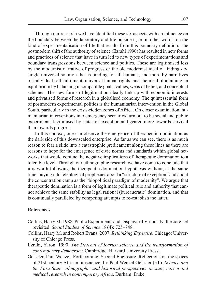Through our research we have identified these six aspects with an influence on the boundary between the laboratory and life outside it, or, in other words, on the kind of experimentalisation of life that results from this boundary definition. The postmodern shift of the authority of science (Ezrahi 1990) has resulted in new forms and practices of science that have in turn led to new types of experimentations and boundary transgressions between science and politics. These are legitimised less by the modernist narrative of progress or the old modernist ideal of finding *one* single universal solution that is binding for all humans, and more by narratives of individual self-fulfilment, universal human rights, and the ideal of attaining an equilibrium by balancing incompatible goals, values, webs of belief, and conceptual schemes. The new forms of legitimation ideally link up with economic interests and privatised forms of research in a globalised economy. The quintessential form of postmodern experimental politics is the humanitarian intervention in the Global South, particularly in the crisis-ridden zones of Africa. On closer examination, humanitarian interventions into emergency scenarios turn out to be social and public experiments legitimised by states of exception and geared more towards survival than towards progress.

In this context, one can observe the emergence of therapeutic domination as the dark side of this downscaled enterprise. As far as we can see, there is as much reason to fear a slide into a catastrophic predicament along these lines as there are reasons to hope for the emergence of civic norms and standards within global networks that would confine the negative implications of therapeutic domination to a tolerable level. Through our ethnographic research we have come to conclude that it is worth following the therapeutic domination hypothesis without, at the same time, buying into teleological prophecies about a "structure of exception" and about the concentration camp as the "biopolitical paradigm of modernity". We argue that therapeutic domination is a form of legitimate political rule and authority that cannot achieve the same stability as legal rational (bureaucratic) domination, and that is continually paralleled by competing attempts to re-establish the latter.

### **References**

- Collins, Harry M. 1988. Public Experiments and Displays of Virtuosity: the core-set revisited. *Social Studies of Science* 18(4): 725–748.
- Collins, Harry M. and Robert Evans. 2007. *Rethinking Expertise*. Chicago: University of Chicago Press.
- Ezrahi, Yaron. 1990. *The Descent of Icarus: science and the transformation of contemporary democracy.* Cambridge: Harvard University Press.
- Geissler, Paul Wenzel. Forthcoming. Second Enclosure. Reflections on the spaces of 21st century African bioscience. In: Paul Wenzel Geissler (ed.). *Science and the Para-State: ethnographic and historical perspectives on state, citizen and medical research in contemporary Africa*. Durham: Duke.